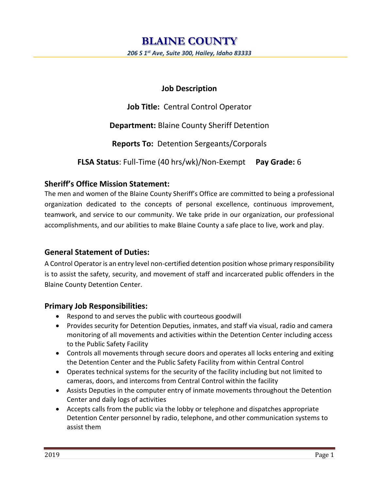# **Job Description**

**Job Title:** Central Control Operator

**Department:** Blaine County Sheriff Detention

**Reports To:** Detention Sergeants/Corporals

**FLSA Status**: Full-Time (40 hrs/wk)/Non-Exempt **Pay Grade:** 6

# **Sheriff's Office Mission Statement:**

The men and women of the Blaine County Sheriff's Office are committed to being a professional organization dedicated to the concepts of personal excellence, continuous improvement, teamwork, and service to our community. We take pride in our organization, our professional accomplishments, and our abilities to make Blaine County a safe place to live, work and play.

# **General Statement of Duties:**

A Control Operator is an entry level non-certified detention position whose primary responsibility is to assist the safety, security, and movement of staff and incarcerated public offenders in the Blaine County Detention Center.

## **Primary Job Responsibilities:**

- Respond to and serves the public with courteous goodwill
- Provides security for Detention Deputies, inmates, and staff via visual, radio and camera monitoring of all movements and activities within the Detention Center including access to the Public Safety Facility
- Controls all movements through secure doors and operates all locks entering and exiting the Detention Center and the Public Safety Facility from within Central Control
- Operates technical systems for the security of the facility including but not limited to cameras, doors, and intercoms from Central Control within the facility
- Assists Deputies in the computer entry of inmate movements throughout the Detention Center and daily logs of activities
- Accepts calls from the public via the lobby or telephone and dispatches appropriate Detention Center personnel by radio, telephone, and other communication systems to assist them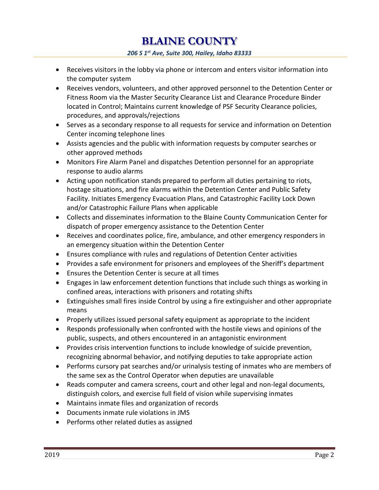**BLAINE COUNTY**  *206 S 1st Ave, Suite 300, Hailey, Idaho 83333*

- Receives visitors in the lobby via phone or intercom and enters visitor information into the computer system
- Receives vendors, volunteers, and other approved personnel to the Detention Center or Fitness Room via the Master Security Clearance List and Clearance Procedure Binder located in Control; Maintains current knowledge of PSF Security Clearance policies, procedures, and approvals/rejections
- Serves as a secondary response to all requests for service and information on Detention Center incoming telephone lines
- Assists agencies and the public with information requests by computer searches or other approved methods
- Monitors Fire Alarm Panel and dispatches Detention personnel for an appropriate response to audio alarms
- Acting upon notification stands prepared to perform all duties pertaining to riots, hostage situations, and fire alarms within the Detention Center and Public Safety Facility. Initiates Emergency Evacuation Plans, and Catastrophic Facility Lock Down and/or Catastrophic Failure Plans when applicable
- Collects and disseminates information to the Blaine County Communication Center for dispatch of proper emergency assistance to the Detention Center
- Receives and coordinates police, fire, ambulance, and other emergency responders in an emergency situation within the Detention Center
- Ensures compliance with rules and regulations of Detention Center activities
- Provides a safe environment for prisoners and employees of the Sheriff's department
- Ensures the Detention Center is secure at all times
- Engages in law enforcement detention functions that include such things as working in confined areas, interactions with prisoners and rotating shifts
- Extinguishes small fires inside Control by using a fire extinguisher and other appropriate means
- Properly utilizes issued personal safety equipment as appropriate to the incident
- Responds professionally when confronted with the hostile views and opinions of the public, suspects, and others encountered in an antagonistic environment
- Provides crisis intervention functions to include knowledge of suicide prevention, recognizing abnormal behavior, and notifying deputies to take appropriate action
- Performs cursory pat searches and/or urinalysis testing of inmates who are members of the same sex as the Control Operator when deputies are unavailable
- Reads computer and camera screens, court and other legal and non-legal documents, distinguish colors, and exercise full field of vision while supervising inmates
- Maintains inmate files and organization of records
- Documents inmate rule violations in JMS
- Performs other related duties as assigned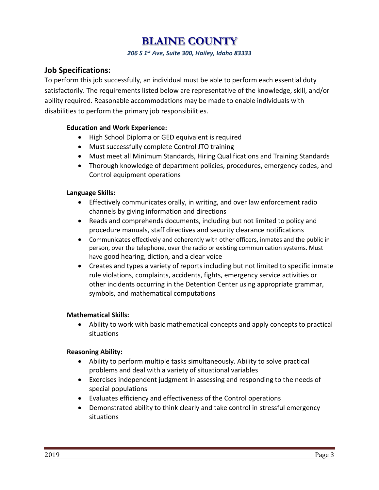# **Job Specifications:**

To perform this job successfully, an individual must be able to perform each essential duty satisfactorily. The requirements listed below are representative of the knowledge, skill, and/or ability required. Reasonable accommodations may be made to enable individuals with disabilities to perform the primary job responsibilities.

## **Education and Work Experience:**

- High School Diploma or GED equivalent is required
- Must successfully complete Control JTO training
- Must meet all Minimum Standards, Hiring Qualifications and Training Standards
- Thorough knowledge of department policies, procedures, emergency codes, and Control equipment operations

#### **Language Skills:**

- Effectively communicates orally, in writing, and over law enforcement radio channels by giving information and directions
- Reads and comprehends documents, including but not limited to policy and procedure manuals, staff directives and security clearance notifications
- Communicates effectively and coherently with other officers, inmates and the public in person, over the telephone, over the radio or existing communication systems. Must have good hearing, diction, and a clear voice
- Creates and types a variety of reports including but not limited to specific inmate rule violations, complaints, accidents, fights, emergency service activities or other incidents occurring in the Detention Center using appropriate grammar, symbols, and mathematical computations

## **Mathematical Skills:**

 Ability to work with basic mathematical concepts and apply concepts to practical situations

## **Reasoning Ability:**

- Ability to perform multiple tasks simultaneously. Ability to solve practical problems and deal with a variety of situational variables
- Exercises independent judgment in assessing and responding to the needs of special populations
- Evaluates efficiency and effectiveness of the Control operations
- Demonstrated ability to think clearly and take control in stressful emergency situations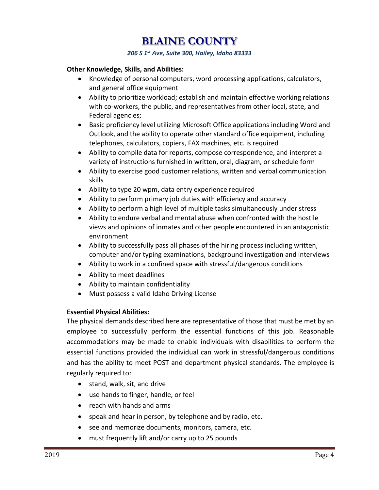#### **Other Knowledge, Skills, and Abilities:**

- Knowledge of personal computers, word processing applications, calculators, and general office equipment
- Ability to prioritize workload; establish and maintain effective working relations with co-workers, the public, and representatives from other local, state, and Federal agencies;
- Basic proficiency level utilizing Microsoft Office applications including Word and Outlook, and the ability to operate other standard office equipment, including telephones, calculators, copiers, FAX machines, etc. is required
- Ability to compile data for reports, compose correspondence, and interpret a variety of instructions furnished in written, oral, diagram, or schedule form
- Ability to exercise good customer relations, written and verbal communication skills
- Ability to type 20 wpm, data entry experience required
- Ability to perform primary job duties with efficiency and accuracy
- Ability to perform a high level of multiple tasks simultaneously under stress
- Ability to endure verbal and mental abuse when confronted with the hostile views and opinions of inmates and other people encountered in an antagonistic environment
- Ability to successfully pass all phases of the hiring process including written, computer and/or typing examinations, background investigation and interviews
- Ability to work in a confined space with stressful/dangerous conditions
- Ability to meet deadlines
- Ability to maintain confidentiality
- Must possess a valid Idaho Driving License

#### **Essential Physical Abilities:**

The physical demands described here are representative of those that must be met by an employee to successfully perform the essential functions of this job. Reasonable accommodations may be made to enable individuals with disabilities to perform the essential functions provided the individual can work in stressful/dangerous conditions and has the ability to meet POST and department physical standards. The employee is regularly required to:

- stand, walk, sit, and drive
- use hands to finger, handle, or feel
- reach with hands and arms
- speak and hear in person, by telephone and by radio, etc.
- see and memorize documents, monitors, camera, etc.
- must frequently lift and/or carry up to 25 pounds